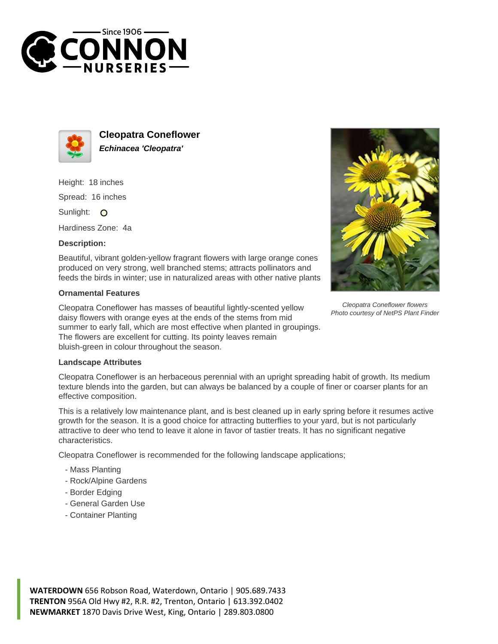



**Cleopatra Coneflower Echinacea 'Cleopatra'**

Height: 18 inches Spread: 16 inches

Sunlight: O

Hardiness Zone: 4a

## **Description:**

Beautiful, vibrant golden-yellow fragrant flowers with large orange cones produced on very strong, well branched stems; attracts pollinators and feeds the birds in winter; use in naturalized areas with other native plants

## **Ornamental Features**

Cleopatra Coneflower has masses of beautiful lightly-scented yellow daisy flowers with orange eyes at the ends of the stems from mid summer to early fall, which are most effective when planted in groupings. The flowers are excellent for cutting. Its pointy leaves remain bluish-green in colour throughout the season.



Cleopatra Coneflower is an herbaceous perennial with an upright spreading habit of growth. Its medium texture blends into the garden, but can always be balanced by a couple of finer or coarser plants for an effective composition.

This is a relatively low maintenance plant, and is best cleaned up in early spring before it resumes active growth for the season. It is a good choice for attracting butterflies to your yard, but is not particularly attractive to deer who tend to leave it alone in favor of tastier treats. It has no significant negative characteristics.

Cleopatra Coneflower is recommended for the following landscape applications;

- Mass Planting
- Rock/Alpine Gardens
- Border Edging
- General Garden Use
- Container Planting



Cleopatra Coneflower flowers Photo courtesy of NetPS Plant Finder

**WATERDOWN** 656 Robson Road, Waterdown, Ontario | 905.689.7433 **TRENTON** 956A Old Hwy #2, R.R. #2, Trenton, Ontario | 613.392.0402 **NEWMARKET** 1870 Davis Drive West, King, Ontario | 289.803.0800